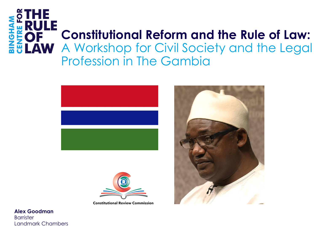# **BINGHAM**<br>CENTRE FO **Constitutional Reform and the Rule of Law:**  AW A Workshop for Civil Society and the Legal Profession in The Gambia



**Constitutional Review Commission** 

**Alex Goodman Barrister** Landmark Chambers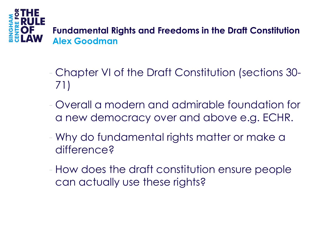

- Chapter VI of the Draft Constitution (sections 30- 71)
- Overall a modern and admirable foundation for a new democracy over and above e.g. ECHR.
- Why do fundamental rights matter or make a difference?
- How does the draft constitution ensure people can actually use these rights?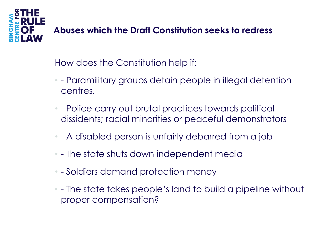

#### **Abuses which the Draft Constitution seeks to redress**

How does the Constitution help if:

- - Paramilitary groups detain people in illegal detention centres.
- - Police carry out brutal practices towards political dissidents; racial minorities or peaceful demonstrators
- - A disabled person is unfairly debarred from a job
- - The state shuts down independent media
- - Soldiers demand protection money
- - The state takes people's land to build a pipeline without proper compensation?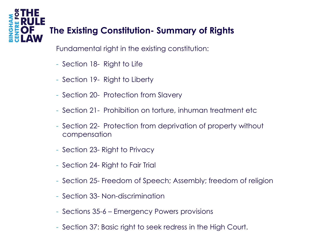# **The Existing Constitution- Summary of Rights**

Fundamental right in the existing constitution:

- Section 18- Right to Life

**AHONI** 

- Section 19- Right to Liberty
- Section 20- Protection from Slavery
- Section 21- Prohibition on torture, inhuman treatment etc
- Section 22- Protection from deprivation of property without compensation
- Section 23- Right to Privacy
- Section 24- Right to Fair Trial
- Section 25- Freedom of Speech; Assembly; freedom of religion
- Section 33- Non-discrimination
- Sections 35-6 Emergency Powers provisions
- Section 37: Basic right to seek redress in the High Court.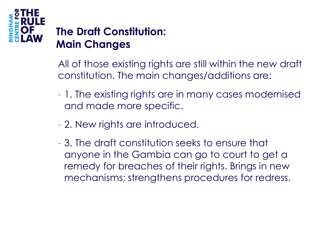

# **The Draft Constitution: Main Changes**

All of those existing rights are still within the new draft constitution. The main changes/additions are:

- 1. The existing rights are in many cases modernised and made more specific.
- 2. New rights are introduced.
- 3. The draft constitution seeks to ensure that anyone in the Gambia can go to court to get a remedy for breaches of their rights. Brings in new mechanisms; strengthens procedures for redress.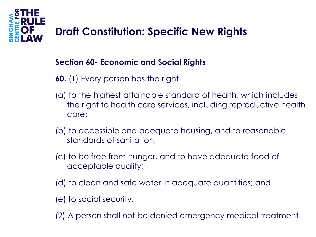

# **Draft Constitution: Specific New Rights**

#### **Section 60- Economic and Social Rights**

- **60.** (1) Every person has the right-
- (a) to the highest attainable standard of health, which includes the right to health care services, including reproductive health care;
- (b) to accessible and adequate housing, and to reasonable standards of sanitation;
- (c) to be free from hunger, and to have adequate food of acceptable quality;
- (d) to clean and safe water in adequate quantities; and
- (e) to social security.
- (2) A person shall not be denied emergency medical treatment.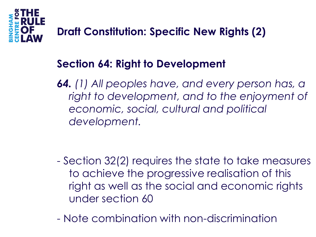

### **Section 64: Right to Development**

*64. (1) All peoples have, and every person has, a right to development, and to the enjoyment of economic, social, cultural and political development.* 

- Section 32(2) requires the state to take measures to achieve the progressive realisation of this right as well as the social and economic rights under section 60
- Note combination with non-discrimination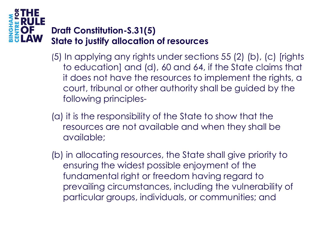# **HウN**

#### **Draft Constitution-S.31(5) State to justify allocation of resources**

- (5) In applying any rights under sections 55 (2) (b), (c) [rights to education] and (d), 60 and 64, if the State claims that it does not have the resources to implement the rights, a court, tribunal or other authority shall be guided by the following principles-
- (a) it is the responsibility of the State to show that the resources are not available and when they shall be available;
- (b) in allocating resources, the State shall give priority to ensuring the widest possible enjoyment of the fundamental right or freedom having regard to prevailing circumstances, including the vulnerability of particular groups, individuals, or communities; and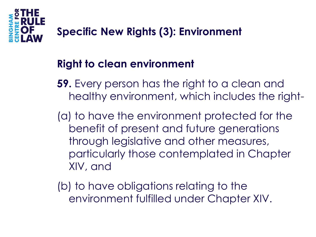

# **Right to clean environment**

- **59.** Every person has the right to a clean and healthy environment, which includes the right-
- (a) to have the environment protected for the benefit of present and future generations through legislative and other measures, particularly those contemplated in Chapter XIV, and
- (b) to have obligations relating to the environment fulfilled under Chapter XIV.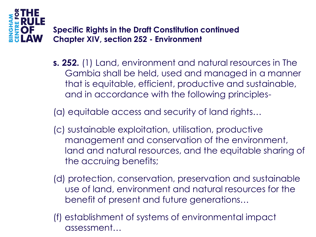

**Specific Rights in the Draft Constitution continued Chapter XIV, section 252 - Environment**

**s. 252.** (1) Land, environment and natural resources in The Gambia shall be held, used and managed in a manner that is equitable, efficient, productive and sustainable, and in accordance with the following principles-

(a) equitable access and security of land rights…

- (c) sustainable exploitation, utilisation, productive management and conservation of the environment, land and natural resources, and the equitable sharing of the accruing benefits;
- (d) protection, conservation, preservation and sustainable use of land, environment and natural resources for the benefit of present and future generations…
- (f) establishment of systems of environmental impact assessment…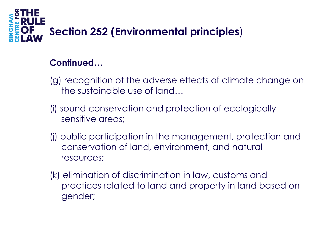

#### **Continued…**

- (g) recognition of the adverse effects of climate change on the sustainable use of land…
- (i) sound conservation and protection of ecologically sensitive areas;
- (j) public participation in the management, protection and conservation of land, environment, and natural resources;
- (k) elimination of discrimination in law, customs and practices related to land and property in land based on gender;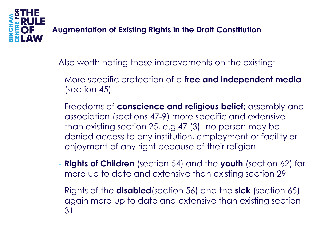

#### **Augmentation of Existing Rights in the Draft Constitution**

Also worth noting these improvements on the existing:

- More specific protection of a **free and independent media** (section 45)
- Freedoms of **conscience and religious belief**; assembly and association (sections 47-9) more specific and extensive than existing section 25, e.g.47 (3)- no person may be denied access to any institution, employment or facility or enjoyment of any right because of their religion.
- **Rights of Children** (section 54) and the **youth** (section 62) far more up to date and extensive than existing section 29
- Rights of the **disabled**(section 56) and the **sick** (section 65) again more up to date and extensive than existing section 31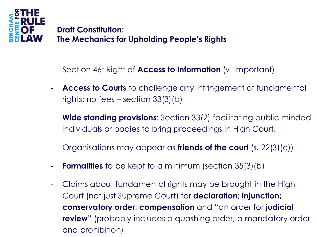

**Draft Constitution: The Mechanics for Upholding People's Rights**

- Section 46: Right of **Access to Information** (v. important)
- Access to Courts to challenge any infringement of fundamental rights: no fees – section 33(3)(b)
- **Wide standing provisions:** Section 33(2) facilitating public minded individuals or bodies to bring proceedings in High Court.
- Organisations may appear as **friends of the court** (s. 22(3)(e))
- **Formalities** to be kept to a minimum (section 35(3)(b)
- Claims about fundamental rights may be brought in the High Court (not just Supreme Court) for **declaration; injunction; conservatory order**; **compensation** and "an order for **judicial review**" (probably includes a quashing order, a mandatory order and prohibition)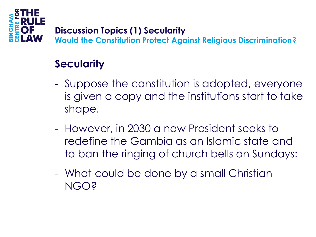

#### **Discussion Topics (1) Secularity**

**Would the Constitution Protect Against Religious Discrimination**?

# **Secularity**

- Suppose the constitution is adopted, everyone is given a copy and the institutions start to take shape.
- However, in 2030 a new President seeks to redefine the Gambia as an Islamic state and to ban the ringing of church bells on Sundays:
- What could be done by a small Christian NGO?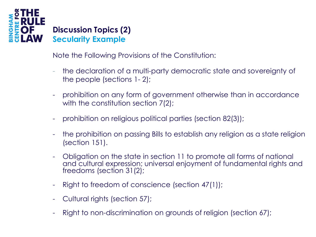

Note the Following Provisions of the Constitution:

- the declaration of a multi-party democratic state and sovereignty of the people (sections 1- 2);
- prohibition on any form of government otherwise than in accordance with the constitution section 7(2);
- prohibition on religious political parties (section 82(3));
- the prohibition on passing Bills to establish any religion as a state religion (section 151).
- Obligation on the state in section 11 to promote all forms of national and cultural expression; universal enjoyment of fundamental rights and freedoms (section 31(2);
- Right to freedom of conscience (section 47(1));
- Cultural rights (section 57);
- Right to non-discrimination on grounds of religion (section 67);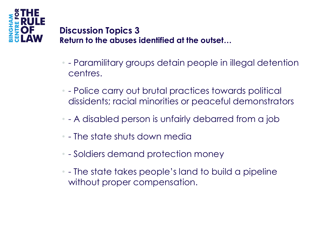

#### **Discussion Topics 3 Return to the abuses identified at the outset…**

- - Paramilitary groups detain people in illegal detention centres.
- - Police carry out brutal practices towards political dissidents; racial minorities or peaceful demonstrators
- - A disabled person is unfairly debarred from a job
- - The state shuts down media
- - Soldiers demand protection money
- - The state takes people's land to build a pipeline without proper compensation.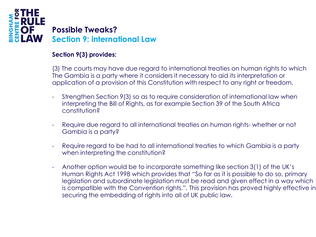

#### **Section 9(3) provides:**

(3) The courts may have due regard to international treaties on human rights to which The Gambia is a party where it considers it necessary to aid its interpretation or application of a provision of this Constitution with respect to any right or freedom.

- Strengthen Section 9(3) so as to require consideration of international law when interpreting the Bill of Rights, as for example Section 39 of the South Africa constitution?
- Require due regard to all international treaties on human rights- whether or not Gambia is a party?
- Require regard to be had to all international treaties to which Gambia is a party when interpreting the constitution?
- Another option would be to incorporate something like section 3(1) of the UK's Human Rights Act 1998 which provides that "So far as it is possible to do so, primary legislation and subordinate legislation must be read and given effect in a way which is compatible with the Convention rights.". This provision has proved highly effective in securing the embedding of rights into all of UK public law.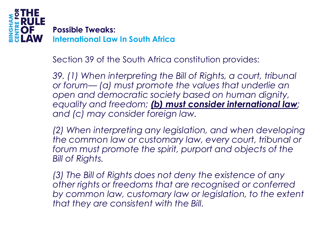

Section 39 of the South Africa constitution provides:

*39. (1) When interpreting the Bill of Rights, a court, tribunal or forum— (a) must promote the values that underlie an open and democratic society based on human dignity, equality and freedom; (b) must consider international law; and (c) may consider foreign law.*

*(2) When interpreting any legislation, and when developing the common law or customary law, every court, tribunal or forum must promote the spirit, purport and objects of the Bill of Rights.*

*(3) The Bill of Rights does not deny the existence of any other rights or freedoms that are recognised or conferred*  by common law, customary law or legislation, to the extent *that they are consistent with the Bill.*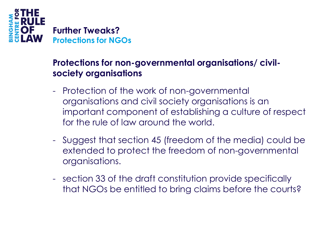

#### **Protections for non-governmental organisations/ civilsociety organisations**

- Protection of the work of non-governmental organisations and civil society organisations is an important component of establishing a culture of respect for the rule of law around the world.
- Suggest that section 45 (freedom of the media) could be extended to protect the freedom of non-governmental organisations.
- section 33 of the draft constitution provide specifically that NGOs be entitled to bring claims before the courts?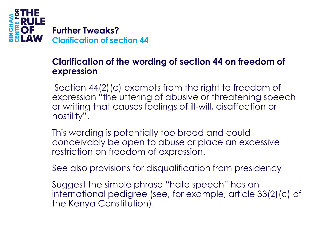

#### **Clarification of the wording of section 44 on freedom of expression**

- Section 44(2)(c) exempts from the right to freedom of expression "the uttering of abusive or threatening speech or writing that causes feelings of ill-will, disaffection or hostility".
- This wording is potentially too broad and could conceivably be open to abuse or place an excessive restriction on freedom of expression.
- See also provisions for disqualification from presidency
- Suggest the simple phrase "hate speech" has an international pedigree (see, for example, article 33(2)(c) of the Kenya Constitution).